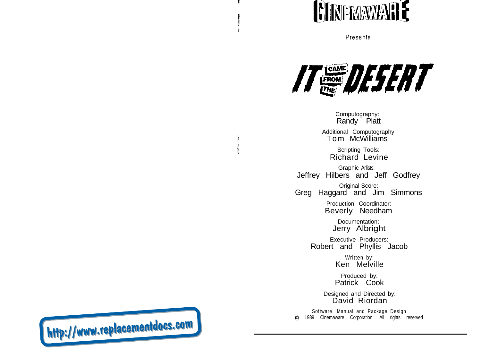

Presents



Computography: Randy Platt

Additional Computography Tom McWilliams

Scripting Tools: Richard Levine

Graphic Arlists: Jeffrey Hilbers and Jeff Godfrey

Original Score: Greg Haggard and Jim Simmons

> Production Coordinator: Beverly Needham

> > Documentation: Jerry Albright

Executive Producers: Robert and Phyllis Jacob

> Written by: Ken Melville

Produced by: Patrick Cook

Designed and Directed by: David Riordan

Software, Manual and Package Design 1989 Cinemaware Corporation. All rights reserved

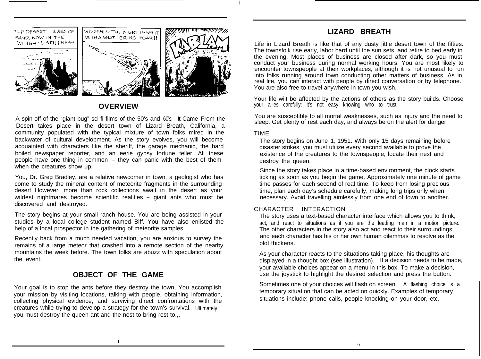

## **OVERVIEW**

A spin-off of the "giant bug" sci-fi films of the 50's and 60's, It Came From the Desert takes place in the desert town of Lizard Breath, California, a community populated with the typical mixture of town folks mired in the backwater of cultural development. As the story evolves, you will become acquainted with characters like the sheriff, the garage mechanic, the hard boiled newspaper reporter, and an eerie gypsy fortune teller. All these people have one thing in common - they can panic with the best of them when the creatures show up.

You, Dr. Greg Bradley, are a relative newcomer in town, a geologist who has come to study the mineral content of meteorite fragments in the surrounding desert However, more than rock collections await in the desert as your wildest nightmares become scientific realities - giant ants who must be discovered and destroyed.

The story begins at your small ranch house. You are being assisted in your studies by a local college student named Biff. You have also enlisted the help of a local prospector in the gathering of meteorite samples.

Recently back from a much needed vacation, you are anxious to survey the remains of a large meteor that crashed into a remote section of the nearby mountains the week before. The town folks are abuzz with speculation about the event.

# **OBJECT OF THE GAME**

Your goal is to stop the ants before they destroy the town, You accomplish your mission by visiting locations, talking with people, obtaining information, collecting physical evidence, and surviving direct confrontations with the creatures while trying to develop a strategy for the town's survival. Ultimately, you must destroy the queen ant and the nest to bring rest to.,.

# **LIZARD BREATH**

Life in Lizard Breath is like that of any dusty little desert town of the fifties. The townsfolk rise early, labor hard until the sun sets, and retire to bed early in the evening. Most places of business are closed after dark, so you must conduct your business during normal working hours. You are most likely to encounter townspeople at their workplaces, although it is not unusual to run into folks running around town conducting other matters of business. As in real life, you can interact with people by direct conversation or by telephone. You are also free to travel anywhere in town you wish.

Your life wilt be affected by the actions of others as the story builds. Choose your allies carefully; it's not easy knowing who to trust.

You are susceptible to all mortal weaknesses, such as injury and the need to sleep. Get plenty of rest each day, and always be on the alert for danger.

#### TIME

The story begins on June 1, 1951. With only 15 days remaining before disaster strikes, you must utilize every second available to prove the existence of the creatures to the townspeople, locate their nest and destroy the queen.

Since the story takes place in a time-based environment, the clock starts ticking as soon as you begin the game. Approximately one minute of game time passes for each second of real time. To keep from losing precious time, plan each day's schedule carefully, making long trips only when necessary. Avoid travelling aimlessly from one end of town to another.

#### CHARACTER INTERACTION

The story uses a text-based character interface which allows you to think, act, and react to situations as if you are the leading man in a motion picture. The other characters in the story also act and react to their surroundings, and each character has his or her own human dilemmas to resolve as the plot thickens.

As your character reacts to the situations taking place, his thoughts are displayed in a thought box (see illustration). If a decision needs to be made, your available choices appear on a menu in this box. To make a decision, use the joystick to highlight the desired selection and press the button.

Sometimes one of your choices will flash on screen. A flashing choice is a temporary situation that can be acted on quickly. Examples of temporary situations include: phone calls, people knocking on your door, etc.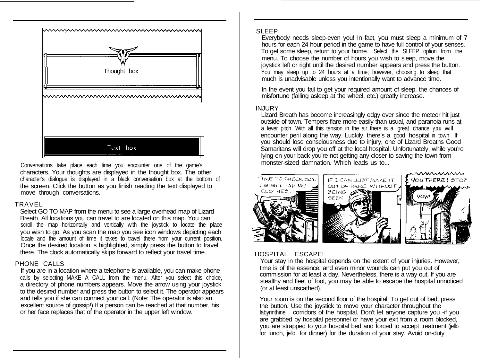

Conversations take place each time you encounter one of the game's characters. Your thoughts are displayed in the thought box. The other character's dialogue is displayed in a black conversation box at the bottom of the screen. Click the button as you finish reading the text displayed to move through conversations.

#### TRAVEL

Select GO TO MAP from the menu to see a large overhead map of Lizard Breath. All locations you can travel to are located on this map. You can scroll the map horizontally and vertically with the joystick to locate the place you wish to go. As you scan the map you see icon windows depicting each locale and the amount of time it takes to travel there from your current position. Once the desired location is highlighted, simply press the button to travel there. The clock automatically skips forward to reflect your travel time.

#### PHONE CALLS

If you are in a location where a telephone is available, you can make phone calls by selecting MAKE A CALL from the menu. After you select this choice, a directory of phone numbers appears. Move the arrow using your joystick to the desired number and press the button to select it. The operator appears and tells you if she can connect your call. (Note: The operator is also an excellent source of gossip!) If a person can be reached at that number, his or her face replaces that of the operator in the upper left window.

#### SLEEP

Everybody needs sleep-even you! In fact, you must sleep a minimum of 7 hours for each 24 hour period in the game to have full control of your senses. To get some sleep, return to your home. Select the SLEEP option from the menu. To choose the number of hours you wish to sleep, move the joystick left or right until the desired number appears and press the button. You may sleep up to 24 hours at a time; however, choosing to sleep that much is unadvisable unless you intentionally want to advance time.

In the event you fail to get your required amount of sleep, the chances of misfortune (falling asleep at the wheel, etc.) greatly increase.

#### INJURY

Lizard Breath has become increasingly edgy ever since the meteor hit just outside of town. Tempers flare more easily than usual, and paranoia runs at a fever pitch. With all this tension in the air there is a great chance you will encounter peril along the way. Luckily, there's a good hospital in town. If you should lose consciousness due to injury, one of Lizard Breaths Good Samaritans will drop you off at the local hospital. Unfortunately, while you're lying on your back you're not getting any closer to saving the town from monster-sized damnation. Which leads us to...



## HOSPITAL ESCAPE!

Your stay in the hospital depends on the extent of your injuries. However, time is of the essence, and even minor wounds can put you out of commission for at least a day. Nevertheless, there is a way out. If you are stealthy and fleet of foot, you may be able to escape the hospital unnoticed (or at least unscathed).

Your room is on the second floor of the hospital. To get out of bed, press the button. Use the joystick to move your character throughout the labyrinthine corridors of the hospital. Don't let anyone capture you -if you are grabbed by hospital personnel or have your exit from a room blocked, you are strapped to your hospital bed and forced to accept treatment (jello for lunch, jello for dinner) for the duration of your stay. Avoid on-duty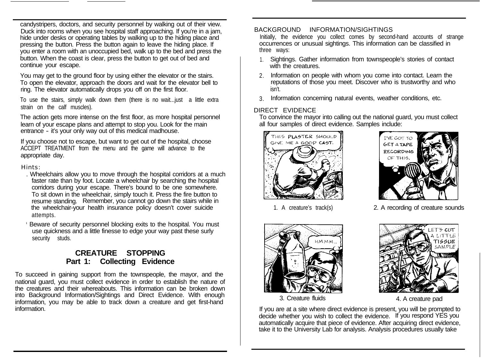candystripers, doctors, and security personnel by walking out of their view. Duck into rooms when you see hospital staff approaching. If you're in a jam, hide under desks or operating tables by walking up to the hiding place and pressing the button. Press the button again to leave the hiding place. If you enter a room with an unoccupied bed, walk up to the bed and press the button. When the coast is clear, press the button to get out of bed and continue your escape.

You may get to the ground floor by using either the elevator or the stairs. To open the elevator, approach the doors and wait for the elevator bell to ring. The elevator automatically drops you off on the first floor.

To use the stairs, simply walk down them (there is no wait...just a little extra strain on the calf muscles).

The action gets more intense on the first floor, as more hospital personnel learn of your escape plans and attempt to stop you. Look for the main entrance - it's your only way out of this medical madhouse.

If you choose not to escape, but want to get out of the hospital, choose ACCEPT TREATMENT from the menu and the game will advance to the appropriate day.

#### Hints:

- . Wheelchairs allow you to move through the hospital corridors at a much faster rate than by foot. Locate a wheelchair by searching the hospital corridors during your escape. There's bound to be one somewhere. To sit down in the wheelchair, simply touch it. Press the fire button to resume standing. Remember, you cannot go down the stairs while in the wheelchair-your health insurance policy doesn't cover suicide attempts.
- Beware of security personnel blocking exits to the hospital. You must use quickness and a little finesse to edge your way past these surly security studs.

# **CREATURE STOPPING Part 1: Collecting Evidence**

To succeed in gaining support from the townspeople, the mayor, and the national guard, you must collect evidence in order to establish the nature of the creatures and their whereabouts. This information can be broken down into Background Information/Sightings and Direct Evidence. With enough information, you may be able to track down a creature and get first-hand information.

### BACKGROUND INFORMATION/SIGHTINGS

Initially, the evidence you collect comes by second-hand accounts of strange occurrences or unusual sightings. This information can be classified in three ways:

- 1. Sightings. Gather information from townspeople's stories of contact with the creatures.
- 2. Information on people with whom you come into contact. Learn the reputations of those you meet. Discover who is trustworthy and who isn't.
- 3. Information concerning natural events, weather conditions, etc.

## DIRECT EVIDENCE

To convince the mayor into calling out the national guard, you must collect all four samples of direct evidence. Samples include:





1. A creature's track(s) 2. A recording of creature sounds





3. Creature fluids 4. A creature pad

If you are at a site where direct evidence is present, you will be prompted to decide whether you wish to collect the evidence. If you respond YES you automatically acquire that piece of evidence. After acquiring direct evidence, take it to the University Lab for analysis. Analysis procedures usually take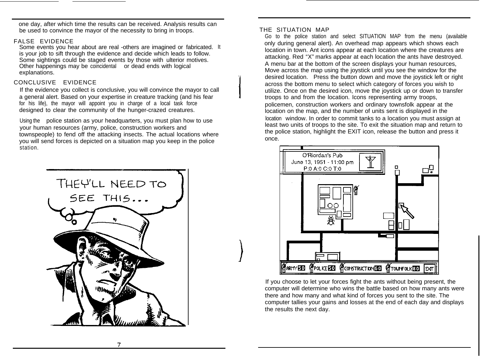one day, after which time the results can be received. Analysis results can be used to convince the mayor of the necessity to bring in troops.

#### FALSE EVIDENCE

Some events you hear about are real -others are imagined or fabricated. It is your job to sift through the evidence and decide which leads to follow. Some sightings could be staged events by those with ulterior motives. Other happenings may be coincidental or dead ends with logical explanations.

## CONCLUSIVE EVIDENCE

If the evidence you collect is conclusive, you will convince the mayor to call a general alert. Based on your expertise in creature tracking (and his fear for his life), the mayor will appoint you in charge of a local task force designed to clear the community of the hunger-crazed creatures.

Using the police station as your headquarters, you must plan how to use your human resources (army, police, construction workers and townspeople) to fend off the attacking insects. The actual locations where you will send forces is depicted on a situation map you keep in the police station.



#### THE SITUATION MAP

Go to the police station and select SITUATION MAP from the menu (available only during general alert). An overhead map appears which shows each location in town. Ant icons appear at each location where the creatures are attacking. Red "X" marks appear at each location the ants have destroyed. A menu bar at the bottom of the screen displays your human resources, Move across the map using the joystick until you see the window for the desired location. Press the button down and move the joystick left or right across the bottom menu to select which category of forces you wish to utilize. Once on the desired icon, move the joystick up or down to transfer troops to and from the location. Icons representing army troops, policemen, construction workers and ordinary townsfolk appear at the location on the map, and the number of units sent is displayed in the location window. In order to commit tanks to a location you must assign at least two units of troops to the site. To exit the situation map and return to the police station, highlight the EXIT icon, release the button and press it once.



If you choose to let your forces fight the ants without being present, the computer will determine who wins the battle based on how many ants were there and how many and what kind of forces you sent to the site. The computer tallies your gains and losses at the end of each day and displays the results the next day.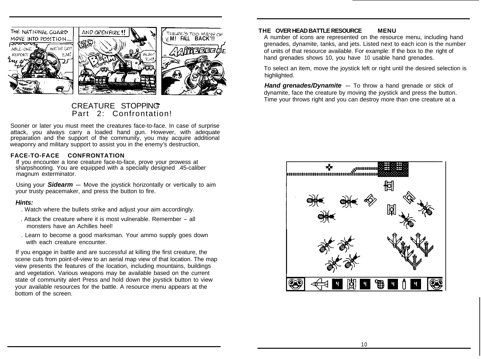

# Part 2: Confrontation!

Sooner or later you must meet the creatures face-to-face. In case of surprise attack, you always carry a loaded hand gun. However, with adequate preparation and the support of the community, you may acquire additional weaponry and military support to assist you in the enemy's destruction,

#### **FACE-TO-FACE CONFRONTATION**

If you encounter a lone creature face-to-face, prove your prowess at sharpshooting. You are equipped with a specially designed .45-caliber magnum exterminator.

Using your **Sidearm** – Move the joystick horizontally or vertically to aim your trusty peacemaker, and press the button to fire.

#### *Hints:*

- . Watch where the bullets strike and adjust your aim accordingly.
- . Attack the creature where it is most vulnerable. Remember all monsters have an Achilles heel!
- . Learn to become a good marksman. Your ammo supply goes down with each creature encounter.

If you engage in battle and are successful at killing the first creature, the scene cuts from point-of-view to an aerial map view of that location. The map view presents the features of the location, including mountains, buildings and vegetation. Various weapons may be available based on the current state of community alert Press and hold down the joystick button to view your available resources for the battle. A resource menu appears at the bottom of the screen.

## **THE OVER HEAD BATTLE RESOURCE MENU**

THE **REALL BAT TO MANY OF THE OVER HEAD BATTLE RESOURCE TO MENU**<br>EM! FALL BACK'!! A number of icons are represented on the resource menu, including hand grenades, dynamite, tanks, and jets. Listed next to each icon is the number of units of that resource available. For example: If the box to the right of hand grenades shows 10, you have 10 usable hand grenades.

> To select an item, move the joystick left or right until the desired selection is highlighted.

**Hand grenades/Dynamite** - To throw a hand grenade or stick of dynamite, face the creature by moving the joystick and press the button. CREATURE STOPPING **Time your throws right and you can destroy more than one creature at a** 

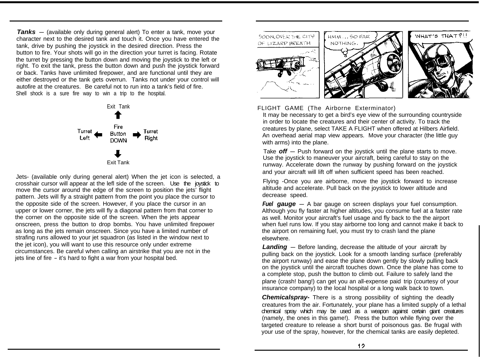**Tanks** – (available only during general alert) To enter a tank, move your character next to the desired tank and touch it. Once you have entered the tank, drive by pushing the joystick in the desired direction. Press the button to fire. Your shots will go in the direction your turret is facing. Rotate the turret by pressing the button down and moving the joystick to the left or right. To exit the tank, press the button down and push the joystick forward or back. Tanks have unlimited firepower, and are functional until they are either destroyed or the tank gets overrun. Tanks not under your control will autofire at the creatures. Be careful not to run into a tank's field of fire. Shell shock is a sure fire way to win a trip to the hospital.



Jets- (available only during general alert) When the jet icon is selected, a crosshair cursor will appear at the lefl side of the screen. Use the joystick to move the cursor around the edge of the screen to position the jets' flight pattern. Jets will fly a straight pattern from the point you place the cursor to the opposite side of the screen. However, if you place the cursor in an upper or lower corner, the jets will fly a diagonal pattern from that corner to the corner on the opposite side of the screen. When the jets appear onscreen, press the button to drop bombs. You have unlimited firepower as long as the jets remain onscreen. Since you have a limited number of strafing runs allowed to your jet squadron (as listed in the window next to the jet icon), you will want to use this resource only under extreme circumstances. Be careful when calling an airstrike that you are not in the jets line of fire - it's hard to fight a war from your hospital bed.







## FLIGHT GAME (The Airborne Exterminator)

It may be necessary to get a bird's eye view of the surrounding countryside in order to locate the creatures and their center of activity. To track the creatures by plane, select TAKE A FLIGHT when offered at Hilbers Airfield. An overhead aerial map view appears. Move your character (the little guy with arms) into the plane.

Take **off** - Push forward on the joystick until the plane starts to move. Use the joystick to maneuver your aircraft, being careful to stay on the runway. Accelerate down the runway by pushing forward on the joystick and your aircraft will lift off when sufficient speed has been reached.

Flying -Once you are airborne, move the joystick forward to increase altitude and accelerate. Pull back on the joystick to lower altitude and decrease speed.

*Fuel gauge* - A bar gauge on screen displays your fuel consumption. Although you fly faster at higher altitudes, you consume fuel at a faster rate as well. Monitor your aircraft's fuel usage and fly back to the the airport when fuel runs low. If you stay airborne too long and cannot make it back to the airport on remaining fuel, you must try to crash land the plane elsewhere.

**Landing** – Before landing, decrease the altitude of your aircraft by pulling back on the joystick. Look for a smooth landing surface (preferably the airport runway) and ease the plane down gently by slowly pulling back on the joystick until the aircraft touches down. Once the plane has come to a complete stop, push the button to climb out. Failure to safely land the plane (crash! bang!) can get you an all-expense paid trip (courtesy of your insurance company) to the local hospital or a long walk back to town.

*Chemicalspray-* There is a strong possibility of sighting the deadly creatures from the air. Fortunately, your plane has a limited supply of a lethal chemical spray which may be used as a weapon against certain giant creatures (namely, the ones in this game!). Press the button while flying over the targeted creature to release a short burst of poisonous gas. Be frugal with your use of the spray, however, for the chemical tanks are easily depleted.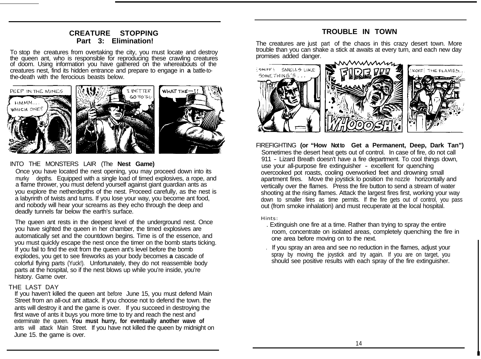## **CREATURE STOPPING Part 3: Elimination!**

To stop the creatures from overtaking the city, you must locate and destroy the queen ant, who is responsible for reproducing these crawling creatures of doom. Using information you have gathered on the whereabouts of the creatures nest, find its hidden entrance and prepare to engage in **a** battle-tothe-death with the ferocious beasts below.



## INTO THE MONSTERS LAIR (The **Nest Game)**

Once you have located the nest opening, you may proceed down into its murky depths. Equipped with a single load of timed explosives, a rope, and a flame thrower, you must defend yourself against giant guardian ants as you explore the netherdepths of the nest. Proceed carefully, as the nest is a labyrinth of twists and turns. If you lose your way, you become ant food, and nobody will hear your screams as they echo through the deep and deadly tunnels far below the earth's surface.

The queen ant rests in the deepest level of the underground nest. Once you have sighted the queen in her chamber, the timed explosives are automatically set and the countdown begins. Time is of the essence, and you must quickly escape the nest once the timer on the bomb starts ticking. If you fail to find the exit from the queen ant's level before the bomb explodes, you get to see fireworks as your body becomes **a** cascade of colorful flying parts (Yuck!). Unfortunately, they do not reassemble body parts at the hospital, so if the nest blows up while you're inside, you're history. Game over.

#### THE LAST DAY

If you haven't killed the queen ant before June 15, you must defend Main Street from an all-out ant attack. If you choose not to defend the town. the ants will destroy it and the game is over. If you succeed in destroying the first wave of ants it buys you more time to try and reach the nest and exterminate the queen. **You must hurry, for eventually another wave of** ants will attack Main Street. If you have not killed the queen by midnight on June 15. the game is over.

# **TROUBLE IN TOWN**

The creatures are just part of the chaos in this crazy desert town. More trouble than you can shake a stick at awaits at every turn, and each new day promises added danger.



FIREFIGHTING (or "How Notto Get a Permanent, Deep, Dark Tan") Sometimes the desert heat gets out of control. In case of fire, do not call 911 - Lizard Breath doesn't have a fire department. To cool things down, use your all-purpose fire extinguisher - excellent for quenching overcooked pot roasts, cooling overworked feet and drowning small apartment fires. Move the joystick lo position the nozzle horizontally and vertically over the flames. Press the fire button to send a stream of water shooting at the rising flames. Attack the largest fires first, working your way down to smaller fires as time permits. If the fire gets out of control, you pass out (from smoke inhalation) and must recuperate at the local hospital.

#### Hints:

- . Extinguish one fire at a time. Rather than trying to spray the entire room, concentrate on isolated areas, completely quenching the fire in one area before moving on to the next.
- . If you spray an area and see no reduction in the flames, adjust your spray by moving the joystick and try again. If you are on target, you should see positive results with each spray of the fire extinguisher.